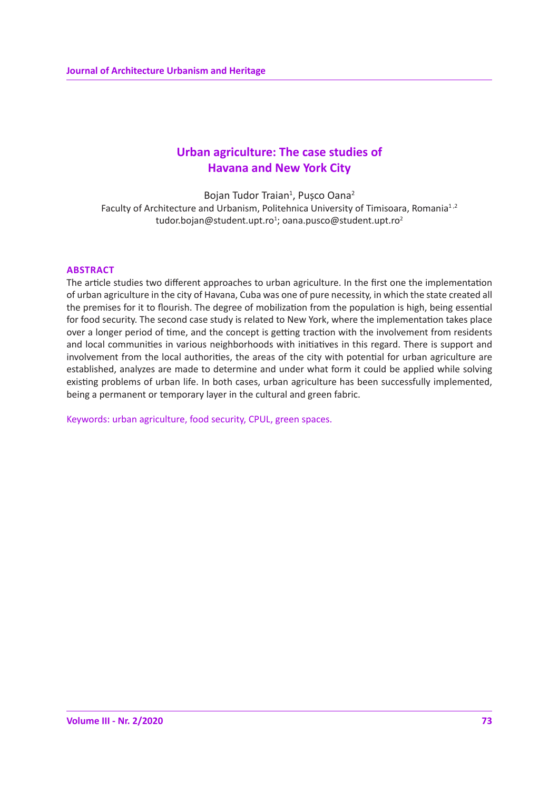# **Urban agriculture: The case studies of Havana and New York City**

Bojan Tudor Traian<sup>1</sup>, Pușco Oana<sup>2</sup> Faculty of Architecture and Urbanism, Politehnica University of Timisoara, Romania<sup>1,2</sup> tudor.bojan@student.upt.ro<sup>1</sup>; oana.pusco@student.upt.ro<sup>2</sup>

## **ABSTRACT**

The article studies two different approaches to urban agriculture. In the first one the implementation of urban agriculture in the city of Havana, Cuba was one of pure necessity, in which the state created all the premises for it to flourish. The degree of mobilization from the population is high, being essential for food security. The second case study is related to New York, where the implementation takes place over a longer period of time, and the concept is getting traction with the involvement from residents and local communities in various neighborhoods with initiatives in this regard. There is support and involvement from the local authorities, the areas of the city with potential for urban agriculture are established, analyzes are made to determine and under what form it could be applied while solving existing problems of urban life. In both cases, urban agriculture has been successfully implemented, being a permanent or temporary layer in the cultural and green fabric.

Keywords: urban agriculture, food security, CPUL, green spaces.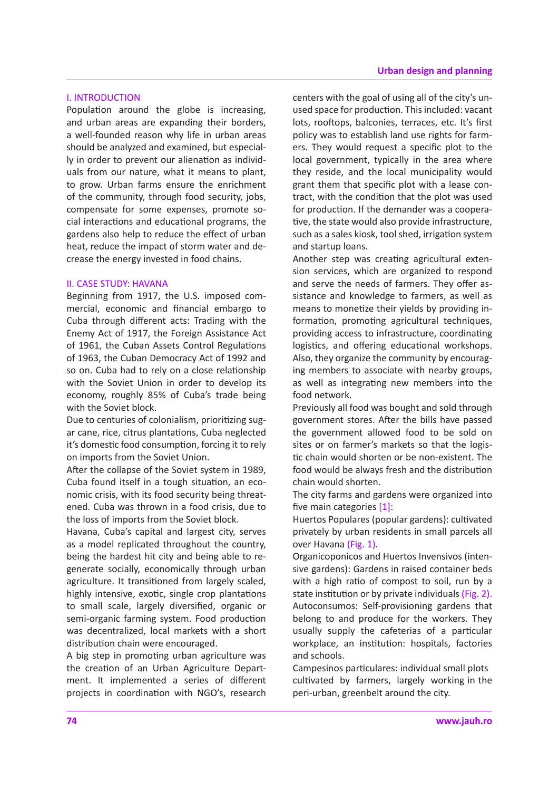#### I. INTRODUCTION

Population around the globe is increasing, and urban areas are expanding their borders, a well-founded reason why life in urban areas should be analyzed and examined, but especially in order to prevent our alienation as individuals from our nature, what it means to plant, to grow. Urban farms ensure the enrichment of the community, through food security, jobs, compensate for some expenses, promote social interactions and educational programs, the gardens also help to reduce the effect of urban heat, reduce the impact of storm water and decrease the energy invested in food chains.

#### II. CASE STUDY: HAVANA

Beginning from 1917, the U.S. imposed commercial, economic and financial embargo to Cuba through different acts: Trading with the Enemy Act of 1917, the Foreign Assistance Act of 1961, the Cuban Assets Control Regulations of 1963, the Cuban Democracy Act of 1992 and so on. Cuba had to rely on a close relationship with the Soviet Union in order to develop its economy, roughly 85% of Cuba's trade being with the Soviet block.

Due to centuries of colonialism, prioritizing sugar cane, rice, citrus plantations, Cuba neglected it's domestic food consumption, forcing it to rely on imports from the Soviet Union.

After the collapse of the Soviet system in 1989, Cuba found itself in a tough situation, an economic crisis, with its food security being threatened. Cuba was thrown in a food crisis, due to the loss of imports from the Soviet block.

Havana, Cuba's capital and largest city, serves as a model replicated throughout the country, being the hardest hit city and being able to regenerate socially, economically through urban agriculture. It transitioned from largely scaled, highly intensive, exotic, single crop plantations to small scale, largely diversified, organic or semi-organic farming system. Food production was decentralized, local markets with a short distribution chain were encouraged.

A big step in promoting urban agriculture was the creation of an Urban Agriculture Department. It implemented a series of different projects in coordination with NGO's, research centers with the goal of using all of the city's unused space for production. This included: vacant lots, rooftops, balconies, terraces, etc. It's first policy was to establish land use rights for farmers. They would request a specific plot to the local government, typically in the area where they reside, and the local municipality would grant them that specific plot with a lease contract, with the condition that the plot was used for production. If the demander was a cooperative, the state would also provide infrastructure, such as a sales kiosk, tool shed, irrigation system and startup loans.

Another step was creating agricultural extension services, which are organized to respond and serve the needs of farmers. They offer assistance and knowledge to farmers, as well as means to monetize their yields by providing information, promoting agricultural techniques, providing access to infrastructure, coordinating logistics, and offering educational workshops. Also, they organize the community by encouraging members to associate with nearby groups, as well as integrating new members into the food network.

Previously all food was bought and sold through government stores. After the bills have passed the government allowed food to be sold on sites or on farmer's markets so that the logistic chain would shorten or be non-existent. The food would be always fresh and the distribution chain would shorten.

The city farms and gardens were organized into five main categories [1]:

Huertos Populares (popular gardens): cultivated privately by urban residents in small parcels all over Havana (Fig. 1).

Organicoponicos and Huertos Invensivos (intensive gardens): Gardens in raised container beds with a high ratio of compost to soil, run by a state institution or by private individuals (Fig. 2). Autoconsumos: Self-provisioning gardens that belong to and produce for the workers. They usually supply the cafeterias of a particular workplace, an institution: hospitals, factories and schools.

Campesinos particulares: individual small plots cultivated by farmers, largely working in the peri-urban, greenbelt around the city.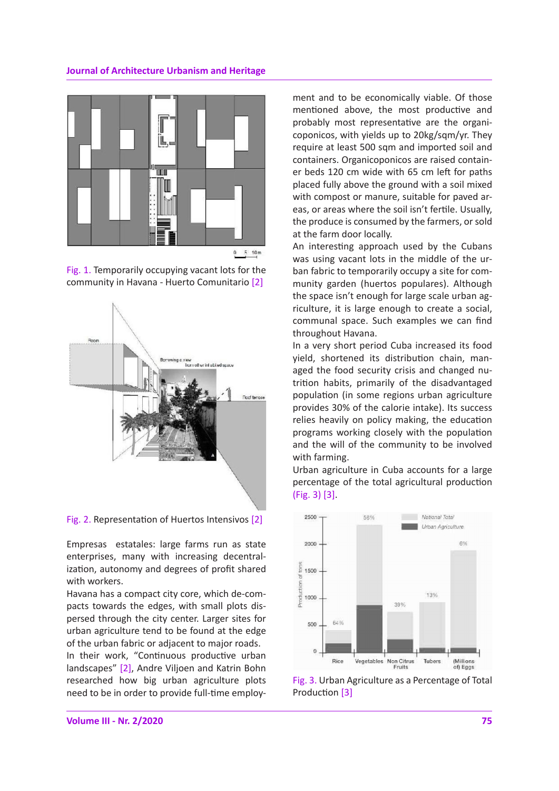## **Journal of Architecture Urbanism and Heritage**







Fig. 2. Representation of Huertos Intensivos [2]

Empresas estatales: large farms run as state enterprises, many with increasing decentralization, autonomy and degrees of profit shared with workers.

Havana has a compact city core, which de-compacts towards the edges, with small plots dispersed through the city center. Larger sites for urban agriculture tend to be found at the edge of the urban fabric or adjacent to major roads.

In their work, "Continuous productive urban landscapes" [2], Andre Viljoen and Katrin Bohn researched how big urban agriculture plots need to be in order to provide full-time employment and to be economically viable. Of those mentioned above, the most productive and probably most representative are the organicoponicos, with yields up to 20kg/sqm/yr. They require at least 500 sqm and imported soil and containers. Organicoponicos are raised container beds 120 cm wide with 65 cm left for paths placed fully above the ground with a soil mixed with compost or manure, suitable for paved areas, or areas where the soil isn't fertile. Usually, the produce is consumed by the farmers, or sold at the farm door locally.

An interesting approach used by the Cubans was using vacant lots in the middle of the urban fabric to temporarily occupy a site for community garden (huertos populares). Although the space isn't enough for large scale urban agriculture, it is large enough to create a social, communal space. Such examples we can find throughout Havana.

In a very short period Cuba increased its food yield, shortened its distribution chain, managed the food security crisis and changed nutrition habits, primarily of the disadvantaged population (in some regions urban agriculture provides 30% of the calorie intake). Its success relies heavily on policy making, the education programs working closely with the population and the will of the community to be involved with farming.

Urban agriculture in Cuba accounts for a large percentage of the total agricultural production (Fig. 3) [3].



Fig. 3. Urban Agriculture as a Percentage of Total Production [3]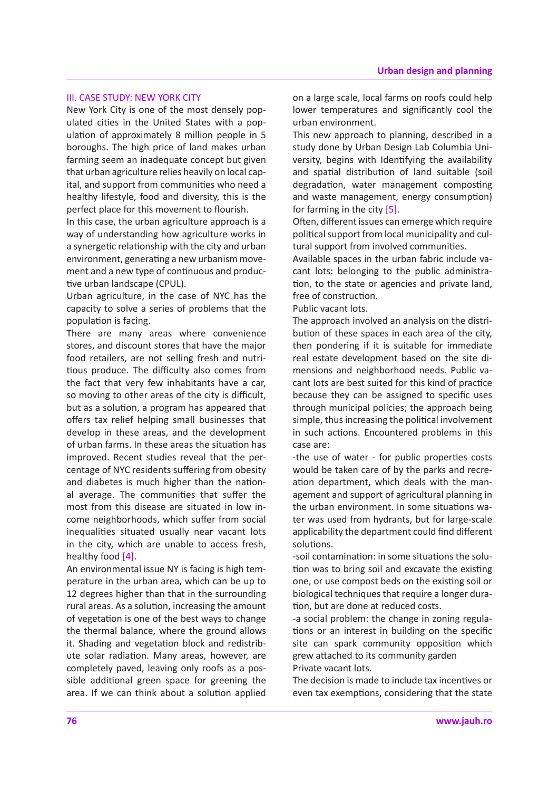## III. CASE STUDY: NEW YORK CITY

New York City is one of the most densely populated cities in the United States with a population of approximately 8 million people in 5 boroughs. The high price of land makes urban farming seem an inadequate concept but given that urban agriculture relies heavily on local capital, and support from communities who need a healthy lifestyle, food and diversity, this is the perfect place for this movement to flourish.

In this case, the urban agriculture approach is a way of understanding how agriculture works in a synergetic relationship with the city and urban environment, generating a new urbanism movement and a new type of continuous and productive urban landscape (CPUL).

Urban agriculture, in the case of NYC has the capacity to solve a series of problems that the population is facing.

There are many areas where convenience stores, and discount stores that have the major food retailers, are not selling fresh and nutritious produce. The difficulty also comes from the fact that very few inhabitants have a car, so moving to other areas of the city is difficult, but as a solution, a program has appeared that offers tax relief helping small businesses that develop in these areas, and the development of urban farms. In these areas the situation has improved. Recent studies reveal that the percentage of NYC residents suffering from obesity and diabetes is much higher than the national average. The communities that suffer the most from this disease are situated in low income neighborhoods, which suffer from social inequalities situated usually near vacant lots in the city, which are unable to access fresh, healthy food [4].

An environmental issue NY is facing is high temperature in the urban area, which can be up to 12 degrees higher than that in the surrounding rural areas. As a solution, increasing the amount of vegetation is one of the best ways to change the thermal balance, where the ground allows it. Shading and vegetation block and redistribute solar radiation. Many areas, however, are completely paved, leaving only roofs as a possible additional green space for greening the area. If we can think about a solution applied on a large scale, local farms on roofs could help lower temperatures and significantly cool the urban environment.

This new approach to planning, described in a study done by Urban Design Lab Columbia University, begins with Identifying the availability and spatial distribution of land suitable (soil degradation, water management composting and waste management, energy consumption) for farming in the city [5].

Often, different issues can emerge which require political support from local municipality and cultural support from involved communities.

Available spaces in the urban fabric include vacant lots: belonging to the public administration, to the state or agencies and private land, free of construction.

Public vacant lots.

The approach involved an analysis on the distribution of these spaces in each area of the city, then pondering if it is suitable for immediate real estate development based on the site dimensions and neighborhood needs. Public vacant lots are best suited for this kind of practice because they can be assigned to specific uses through municipal policies; the approach being simple, thus increasing the political involvement in such actions. Encountered problems in this case are:

-the use of water - for public properties costs would be taken care of by the parks and recreation department, which deals with the management and support of agricultural planning in the urban environment. In some situations water was used from hydrants, but for large-scale applicability the department could find different solutions.

-soil contamination: in some situations the solution was to bring soil and excavate the existing one, or use compost beds on the existing soil or biological techniques that require a longer duration, but are done at reduced costs.

-a social problem: the change in zoning regulations or an interest in building on the specific site can spark community opposition which grew attached to its community garden Private vacant lots.

The decision is made to include tax incentives or even tax exemptions, considering that the state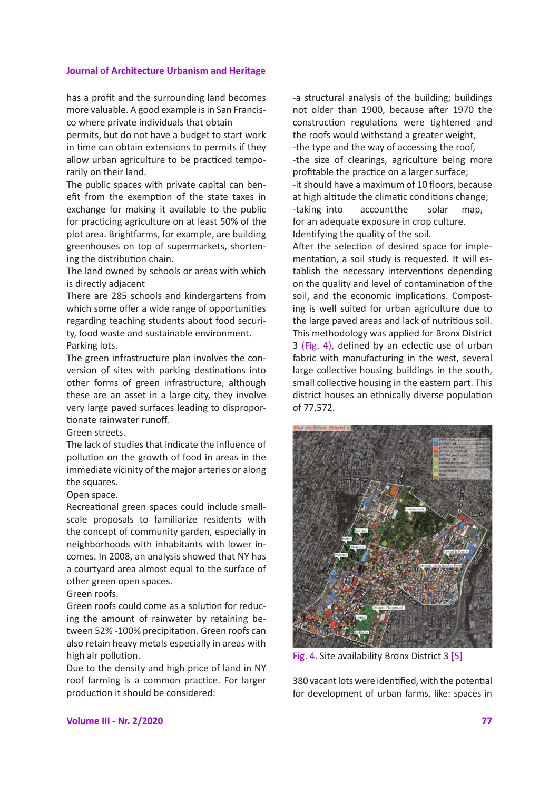#### **Journal of Architecture Urbanism and Heritage**

has a profit and the surrounding land becomes more valuable. A good example is in San Francisco where private individuals that obtain

permits, but do not have a budget to start work in time can obtain extensions to permits if they allow urban agriculture to be practiced temporarily on their land.

The public spaces with private capital can benefit from the exemption of the state taxes in exchange for making it available to the public for practicing agriculture on at least 50% of the plot area. Brightfarms, for example, are building greenhouses on top of supermarkets, shortening the distribution chain.

The land owned by schools or areas with which is directly adjacent

There are 285 schools and kindergartens from which some offer a wide range of opportunities regarding teaching students about food security, food waste and sustainable environment. Parking lots.

The green infrastructure plan involves the conversion of sites with parking destinations into other forms of green infrastructure, although these are an asset in a large city, they involve very large paved surfaces leading to disproportionate rainwater runoff.

Green streets.

The lack of studies that indicate the influence of pollution on the growth of food in areas in the immediate vicinity of the major arteries or along the squares.

Open space.

Recreational green spaces could include smallscale proposals to familiarize residents with the concept of community garden, especially in neighborhoods with inhabitants with lower incomes. In 2008, an analysis showed that NY has a courtyard area almost equal to the surface of other green open spaces.

#### Green roofs.

Green roofs could come as a solution for reducing the amount of rainwater by retaining between 52% -100% precipitation. Green roofs can also retain heavy metals especially in areas with high air pollution.

Due to the density and high price of land in NY roof farming is a common practice. For larger production it should be considered:

-a structural analysis of the building; buildings not older than 1900, because after 1970 the construction regulations were tightened and the roofs would withstand a greater weight, -the type and the way of accessing the roof, -the size of clearings, agriculture being more profitable the practice on a larger surface; -it should have a maximum of 10 floors, because at high altitude the climatic conditions change; -taking into accountthe solar map, for an adequate exposure in crop culture. Identifying the quality of the soil.

After the selection of desired space for implementation, a soil study is requested. It will establish the necessary interventions depending on the quality and level of contamination of the soil, and the economic implications. Composting is well suited for urban agriculture due to the large paved areas and lack of nutritious soil. This methodology was applied for Bronx District 3 (Fig. 4), defined by an eclectic use of urban fabric with manufacturing in the west, several large collective housing buildings in the south, small collective housing in the eastern part. This district houses an ethnically diverse population of 77,572.



Fig. 4. Site availability Bronx District 3 [5]

380 vacant lots were identified, with the potential for development of urban farms, like: spaces in